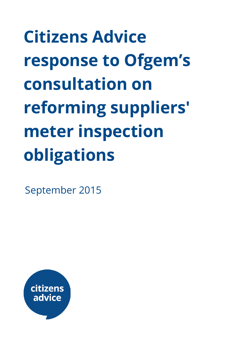**Citizens Advice response to Ofgem's consultation on reforming suppliers' meter inspection obligations**

September 2015

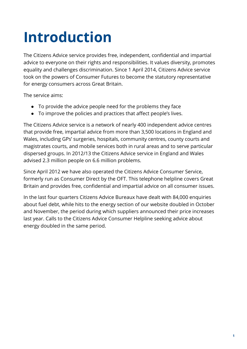# **Introduction**

The Citizens Advice service provides free, independent, confidential and impartial advice to everyone on their rights and responsibilities. It values diversity, promotes equality and challenges discrimination. Since 1 April 2014, Citizens Advice service took on the powers of Consumer Futures to become the statutory representative for energy consumers across Great Britain.

The service aims:

- To provide the advice people need for the problems they face
- To improve the policies and practices that affect people's lives.

The Citizens Advice service is a network of nearly 400 independent advice centres that provide free, impartial advice from more than 3,500 locations in England and Wales, including GPs' surgeries, hospitals, community centres, county courts and magistrates courts, and mobile services both in rural areas and to serve particular dispersed groups. In 2012/13 the Citizens Advice service in England and Wales advised 2.3 million people on 6.6 million problems.

Since April 2012 we have also operated the Citizens Advice Consumer Service, formerly run as Consumer Direct by the OFT. This telephone helpline covers Great Britain and provides free, confidential and impartial advice on all consumer issues.

In the last four quarters Citizens Advice Bureaux have dealt with 84,000 enquiries about fuel debt, while hits to the energy section of our website doubled in October and November, the period during which suppliers announced their price increases last year. Calls to the Citizens Advice Consumer Helpline seeking advice about energy doubled in the same period.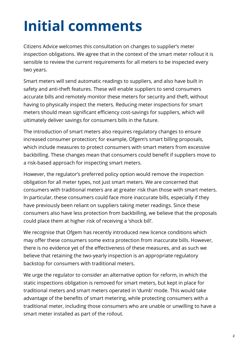# **Initial comments**

Citizens Advice welcomes this consultation on changes to supplier's meter inspection obligations. We agree that in the context of the smart meter rollout it is sensible to review the current requirements for all meters to be inspected every two years.

Smart meters will send automatic readings to suppliers, and also have built in safety and anti-theft features. These will enable suppliers to send consumers accurate bills and remotely monitor these meters for security and theft, without having to physically inspect the meters. Reducing meter inspections for smart meters should mean significant efficiency cost-savings for suppliers, which will ultimately deliver savings for consumers bills in the future.

The introduction of smart meters also requires regulatory changes to ensure increased consumer protection; for example, Ofgem's smart billing proposals, which include measures to protect consumers with smart meters from excessive backbilling. These changes mean that consumers could benefit if suppliers move to a risk-based approach for inspecting smart meters.

However, the regulator's preferred policy option would remove the inspection obligation for all meter types, not just smart meters. We are concerned that consumers with traditional meters are at greater risk than those with smart meters. In particular, these consumers could face more inaccurate bills, especially if they have previously been reliant on suppliers taking meter readings. Since these consumers also have less protection from backbilling, we believe that the proposals could place them at higher risk of receiving a 'shock bill'.

We recognise that Ofgem has recently introduced new licence conditions which may offer these consumers some extra protection from inaccurate bills. However, there is no evidence yet of the effectiveness of these measures, and as such we believe that retaining the two-yearly inspection is an appropriate regulatory backstop for consumers with traditional meters.

We urge the regulator to consider an alternative option for reform, in which the static inspections obligation is removed for smart meters, but kept in place for traditional meters and smart meters operated in 'dumb' mode. This would take advantage of the benefits of smart metering, while protecting consumers with a traditional meter, including those consumers who are unable or unwilling to have a smart meter installed as part of the rollout.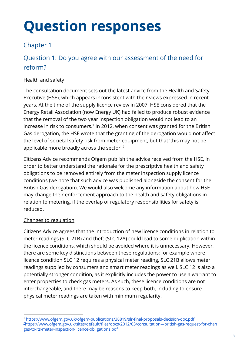# **Question responses**

## Chapter 1

# Question 1: Do you agree with our assessment of the need for reform?

## Health and safety

The consultation document sets out the latest advice from the Health and Safety Executive (HSE), which appears inconsistent with their views expressed in recent years. At the time of the supply licence review in 2007, HSE considered that the Energy Retail Association (now Energy UK) had failed to produce robust evidence that the removal of the two year inspection obligation would not lead to an increase in risk to consumers. $1$  In 2012, when consent was granted for the British Gas derogation, the HSE wrote that the granting of the derogation would not affect the level of societal safety risk from meter equipment, but that 'this may not be applicable more broadly across the sector'. 2

Citizens Advice recommends Ofgem publish the advice received from the HSE, in order to better understand the rationale for the prescriptive health and safety obligations to be removed entirely from the meter inspection supply licence conditions (we note that such advice was published alongside the consent for the British Gas derogation). We would also welcome any information about how HSE may change their enforcement approach to the health and safety obligations in relation to metering, if the overlap of regulatory responsibilities for safety is reduced.

## Changes to regulation

Citizens Advice agrees that the introduction of new licence conditions in relation to meter readings (SLC 21B) and theft (SLC 12A) could lead to some duplication within the licence conditions, which should be avoided where it is unnecessary. However, there are some key distinctions between these regulations; for example where licence condition SLC 12 requires a physical meter reading, SLC 21B allows meter readings supplied by consumers and smart meter readings as well. SLC 12 is also a potentially stronger condition, as it explicitly includes the power to use a warrant to enter properties to check gas meters. As such, these licence conditions are not interchangeable, and there may be reasons to keep both, including to ensure physical meter readings are taken with minimum regularity.

<sup>1</sup> <https://www.ofgem.gov.uk/ofgem-publications/38819/slr-final-proposals-decision-doc.pdf> <sup>2</sup>[https://www.ofgem.gov.uk/sites/default/files/docs/2012/03/consultation---british-gas-request-for-chan](https://www.ofgem.gov.uk/sites/default/files/docs/2012/03/consultation---british-gas-request-for-changes-to-its-meter-inspection-licence-obligations.pdf) [ges-to-its-meter-inspection-licence-obligations.pdf](https://www.ofgem.gov.uk/sites/default/files/docs/2012/03/consultation---british-gas-request-for-changes-to-its-meter-inspection-licence-obligations.pdf)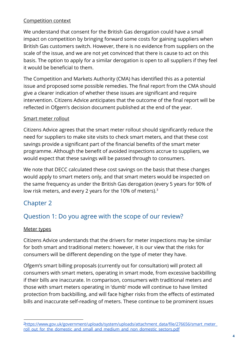#### Competition context

We understand that consent for the British Gas derogation could have a small impact on competition by bringing forward some costs for gaining suppliers when British Gas customers switch. However, there is no evidence from suppliers on the scale of the issue, and we are not yet convinced that there is cause to act on this basis. The option to apply for a similar derogation is open to all suppliers if they feel it would be beneficial to them.

The Competition and Markets Authority (CMA) has identified this as a potential issue and proposed some possible remedies. The final report from the CMA should give a clearer indication of whether these issues are significant and require intervention. Citizens Advice anticipates that the outcome of the final report will be reflected in Ofgem's decision document published at the end of the year.

## Smart meter rollout

Citizens Advice agrees that the smart meter rollout should significantly reduce the need for suppliers to make site visits to check smart meters, and that these cost savings provide a significant part of the financial benefits of the smart meter programme. Although the benefit of avoided inspections accrue to suppliers, we would expect that these savings will be passed through to consumers.

We note that DECC calculated these cost savings on the basis that these changes would apply to smart meters only, and that smart meters would be inspected on the same frequency as under the British Gas derogation (every 5 years for 90% of low risk meters, and every 2 years for the 10% of meters).<sup>3</sup>

## Chapter 2

## Question 1: Do you agree with the scope of our review?

## Meter types

Citizens Advice understands that the drivers for meter inspections may be similar for both smart and traditional meters: however, it is our view that the risks for consumers will be different depending on the type of meter they have.

Ofgem's smart billing proposals (currently out for consultation) will protect all consumers with smart meters, operating in smart mode, from excessive backbilling if their bills are inaccurate. In comparison, consumers with traditional meters and those with smart meters operating in 'dumb' mode will continue to have limited protection from backbilling, and will face higher risks from the effects of estimated bills and inaccurate self-reading of meters. These continue to be prominent issues

<sup>&</sup>lt;sup>3</sup>[https://www.gov.uk/government/uploads/system/uploads/attachment\\_data/file/276656/smart\\_meter\\_](https://www.gov.uk/government/uploads/system/uploads/attachment_data/file/276656/smart_meter_roll_out_for_the_domestic_and_small_and_medium_and_non_domestic_sectors.pdf) [roll\\_out\\_for\\_the\\_domestic\\_and\\_small\\_and\\_medium\\_and\\_non\\_domestic\\_sectors.pdf](https://www.gov.uk/government/uploads/system/uploads/attachment_data/file/276656/smart_meter_roll_out_for_the_domestic_and_small_and_medium_and_non_domestic_sectors.pdf)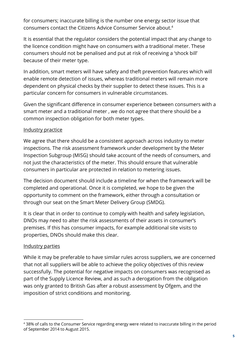for consumers; inaccurate billing is the number one energy sector issue that consumers contact the Citizens Advice Consumer Service about. 4

It is essential that the regulator considers the potential impact that any change to the licence condition might have on consumers with a traditional meter. These consumers should not be penalised and put at risk of receiving a 'shock bill' because of their meter type.

In addition, smart meters will have safety and theft prevention features which will enable remote detection of issues, whereas traditional meters will remain more dependent on physical checks by their supplier to detect these issues. This is a particular concern for consumers in vulnerable circumstances.

Given the significant difference in consumer experience between consumers with a smart meter and a traditional meter , we do not agree that there should be a common inspection obligation for both meter types.

### Industry practice

We agree that there should be a consistent approach across industry to meter inspections. The risk assessment framework under development by the Meter Inspection Subgroup (MISG) should take account of the needs of consumers, and not just the characteristics of the meter. This should ensure that vulnerable consumers in particular are protected in relation to metering issues.

The decision document should include a timeline for when the framework will be completed and operational. Once it is completed, we hope to be given the opportunity to comment on the framework, either through a consultation or through our seat on the Smart Meter Delivery Group (SMDG).

It is clear that in order to continue to comply with health and safety legislation, DNOs may need to alter the risk assessments of their assets in consumer's premises. If this has consumer impacts, for example additional site visits to properties, DNOs should make this clear.

#### Industry parties

While it may be preferable to have similar rules across suppliers, we are concerned that not all suppliers will be able to achieve the policy objectives of this review successfully. The potential for negative impacts on consumers was recognised as part of the Supply Licence Review, and as such a derogation from the obligation was only granted to British Gas after a robust assessment by Ofgem, and the imposition of strict conditions and monitoring.

<sup>4</sup> 38% of calls to the Consumer Service regarding energy were related to inaccurate billing in the period of September 2014 to August 2015.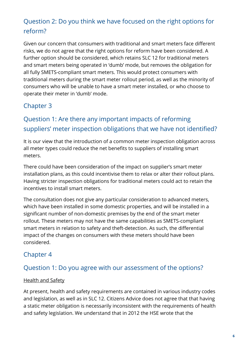# Question 2: Do you think we have focused on the right options for reform?

Given our concern that consumers with traditional and smart meters face different risks, we do not agree that the right options for reform have been considered. A further option should be considered, which retains SLC 12 for traditional meters and smart meters being operated in 'dumb' mode, but removes the obligation for all fully SMETS-compliant smart meters. This would protect consumers with traditional meters during the smart meter rollout period, as well as the minority of consumers who will be unable to have a smart meter installed, or who choose to operate their meter in 'dumb' mode.

# Chapter 3

# Question 1: Are there any important impacts of reforming suppliers' meter inspection obligations that we have not identified?

It is our view that the introduction of a common meter inspection obligation across all meter types could reduce the net benefits to suppliers of installing smart meters.

There could have been consideration of the impact on supplier's smart meter installation plans, as this could incentivise them to relax or alter their rollout plans. Having stricter inspection obligations for traditional meters could act to retain the incentives to install smart meters.

The consultation does not give any particular consideration to advanced meters, which have been installed in some domestic properties, and will be installed in a significant number of non-domestic premises by the end of the smart meter rollout. These meters may not have the same capabilities as SMETS-compliant smart meters in relation to safety and theft-detection. As such, the differential impact of the changes on consumers with these meters should have been considered.

## Chapter 4

## Question 1: Do you agree with our assessment of the options?

## Health and Safety

At present, health and safety requirements are contained in various industry codes and legislation, as well as in SLC 12. Citizens Advice does not agree that that having a static meter obligation is necessarily inconsistent with the requirements of health and safety legislation. We understand that in 2012 the HSE wrote that the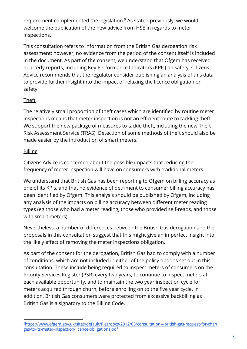requirement complemented the legislation.<sup>5</sup> As stated previously, we would welcome the publication of the new advice from HSE in regards to meter inspections.

This consultation refers to information from the British Gas derogation risk assessment: however, no evidence from the period of the consent itself is included in the document. As part of the consent, we understand that Ofgem has received quarterly reports, including Key Performance Indicators (KPIs) on safety. Citizens Advice recommends that the regulator consider publishing an analysis of this data to provide further insight into the impact of relaxing the licence obligation on safety.

## **Theft**

The relatively small proportion of theft cases which are identified by routine meter inspections means that meter inspection is not an efficient route to tackling theft. We support the new package of measures to tackle theft, including the new Theft Risk Assessment Service (TRAS). Detection of some methods of theft should also be made easier by the introduction of smart meters.

## **Billing**

Citizens Advice is concerned about the possible impacts that reducing the frequency of meter inspection will have on consumers with traditional meters.

We understand that British Gas has been reporting to Ofgem on billing accuracy as one of its KPIs, and that no evidence of detriment to consumer billing accuracy has been identified by Ofgem. This analysis should be published by Ofgem, including any analysis of the impacts on billing accuracy between different meter reading types (eg those who had a meter reading, those who provided self-reads, and those with smart meters).

Nevertheless, a number of differences between the British Gas derogation and the proposals in this consultation suggest that this might give an imperfect insight into the likely effect of removing the meter inspections obligation.

As part of the consent for the derogation, British Gas had to comply with a number of conditions, which are not included in either of the policy options set out in this consultation. These include being required to inspect meters of consumers on the Priority Services Register (PSR) every two years, to continue to inspect meters at each available opportunity, and to maintain the two year inspection cycle for meters acquired through churn, before enrolling on to the five year cycle. In addition, British Gas consumers were protected from excessive backbilling as British Gas is a signatory to the Billing Code.

<sup>5</sup>[https://www.ofgem.gov.uk/sites/default/files/docs/2012/03/consultation---british-gas-request-for-chan](https://www.ofgem.gov.uk/sites/default/files/docs/2012/03/consultation---british-gas-request-for-changes-to-its-meter-inspection-licence-obligations.pdf) [ges-to-its-meter-inspection-licence-obligations.pdf](https://www.ofgem.gov.uk/sites/default/files/docs/2012/03/consultation---british-gas-request-for-changes-to-its-meter-inspection-licence-obligations.pdf)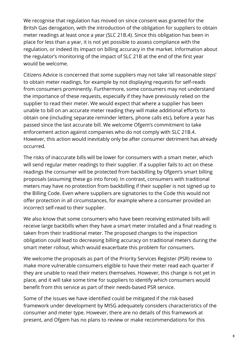We recognise that regulation has moved on since consent was granted for the Britsh Gas derogation, with the introduction of the obligation for suppliers to obtain meter readings at least once a year (SLC 21B.4). Since this obligation has been in place for less than a year, it is not yet possible to assess compliance with the regulation, or indeed its impact on billing accuracy in the market. Information about the regulator's monitoring of the impact of SLC 21B at the end of the first year would be welcome.

Citizens Advice is concerned that some suppliers may not take 'all reasonable steps' to obtain meter readings, for example by not displaying requests for self-reads from consumers prominently. Furthermore, some consumers may not understand the importance of these requests, especially if they have previously relied on the supplier to read their meter. We would expect that where a supplier has been unable to bill on an accurate meter reading they will make additional efforts to obtain one (including separate reminder letters, phone calls etc), before a year has passed since the last accurate bill. We welcome Ofgem's commitment to take enforcement action against companies who do not comply with SLC 21B.4. However, this action would inevitably only be after consumer detriment has already occurred.

The risks of inaccurate bills will be lower for consumers with a smart meter, which will send regular meter readings to their supplier. If a supplier fails to act on these readings the consumer will be protected from backbilling by Ofgem's smart billing proposals (assuming these go into force). In contrast, consumers with traditional meters may have no protection from backbilling if their supplier is not signed up to the Billing Code. Even where suppliers are signatories to the Code this would not offer protection in all circumstances, for example where a consumer provided an incorrect self-read to their supplier.

We also know that some consumers who have been receiving estimated bills will receive large backbills when they have a smart meter installed and a final reading is taken from their traditional meter. The proposed changes to the inspection obligation could lead to decreasing billing accuracy on traditional meters during the smart meter rollout, which would exacerbate this problem for consumers.

We welcome the proposals as part of the Priority Services Register (PSR) review to make more vulnerable consumers eligible to have their meter read each quarter if they are unable to read their meters themselves. However, this change is not yet in place, and it will take some time for suppliers to identify which consumers would benefit from this service as part of their needs-based PSR service.

Some of the issues we have identified could be mitigated if the risk-based framework under development by MISG adequately considers characteristics of the consumer and meter type. However, there are no details of this framework at present, and Ofgem has no plans to review or make recommendations for this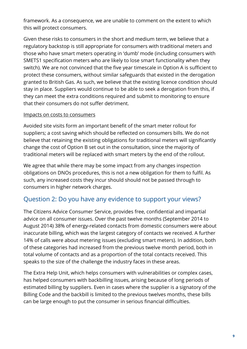framework. As a consequence, we are unable to comment on the extent to which this will protect consumers.

Given these risks to consumers in the short and medium term, we believe that a regulatory backstop is still appropriate for consumers with traditional meters and those who have smart meters operating in 'dumb' mode (including consumers with SMETS1 specification meters who are likely to lose smart functionality when they switch). We are not convinced that the five year timescale in Option A is sufficient to protect these consumers, without similar safeguards that existed in the derogation granted to British Gas. As such, we believe that the existing licence condition should stay in place. Suppliers would continue to be able to seek a derogation from this, if they can meet the extra conditions required and submit to monitoring to ensure that their consumers do not suffer detriment.

#### Impacts on costs to consumers

Avoided site visits form an important benefit of the smart meter rollout for suppliers; a cost saving which should be reflected on consumers bills. We do not believe that retaining the existing obligations for traditional meters will significantly change the cost of Option B set out in the consultation, since the majority of traditional meters will be replaced with smart meters by the end of the rollout.

We agree that while there may be some impact from any changes inspection obligations on DNOs procedures, this is not a new obligation for them to fulfil. As such, any increased costs they incur should should not be passed through to consumers in higher network charges.

## Question 2: Do you have any evidence to support your views?

The Citizens Advice Consumer Service, provides free, confidential and impartial advice on all consumer issues. Over the past twelve months (September 2014 to August 2014) 38% of energy-related contacts from domestic consumers were about inaccurate billing, which was the largest category of contacts we received. A further 14% of calls were about metering issues (excluding smart meters). In addition, both of these categories had increased from the previous twelve month period, both in total volume of contacts and as a proportion of the total contacts received. This speaks to the size of the challenge the industry faces in these areas.

The Extra Help Unit, which helps consumers with vulnerabilities or complex cases, has helped consumers with backbilling issues, arising because of long periods of estimated billing by suppliers. Even in cases where the supplier is a signatory of the Billing Code and the backbill is limited to the previous twelves months, these bills can be large enough to put the consumer in serious financial difficulties.